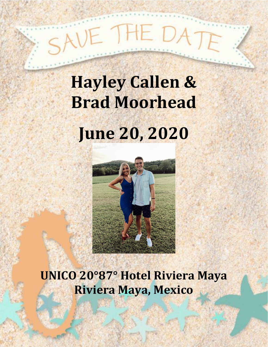# IF THE DA

# **Hayley Callen & Brad Moorhead June 20, 2020**



**UNICO 20°87° Hotel Riviera Maya Riviera Maya, Mexico**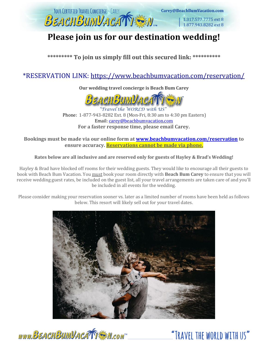

# **Please join us for our destination wedding!**

**\*\*\*\*\*\*\*\*\* To join us simply fill out this secured link: \*\*\*\*\*\*\*\*\*\***

# \*RESERVATION LINK:<https://www.beachbumvacation.com/reservation/>

**Our wedding travel concierge is Beach Bum Carey**



Travel the WORLD with US Phone: 1-877-943-8282 Ext. 8 (Mon-Fri, 8:30 am to 4:30 pm Eastern) Email: [carey@beachbumvacation.com](mailto:carey@beachbumvacation.com) **For a faster response time, please email Carey.** 

**Bookings must be made via our online form at [www.beachbumvacation.com/reservation](http://www.beachbumvacation.com/reservation) to ensure accuracy. Reservations cannot be made via phone.**

#### **Rates below are all inclusive and are reserved only for guests of Hayley & Brad's Wedding!**

Hayley & Brad have blocked off rooms for their wedding guests. They would like to encourage all their guests to book with Beach Bum Vacation. You must book your room directly with **Beach Bum Carey** to ensure that you will receive wedding guest rates, be included on the guest list, all your travel arrangements are taken care of and you'll be included in all events for the wedding.

Please consider making your reservation sooner vs. later as a limited number of rooms have been held as follows below. This resort will likely sell out for your travel dates.



www.BEACHBUMVACATT SM.com

"TRAVFI THE WORLD WITH US"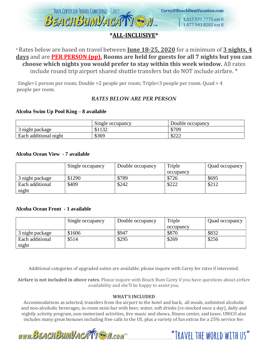

#### **\*ALL-INCLUSIVE\***

#### \* Rates below are based on travel between **June 18-25, 2020** for a minimum of **3 nights, 4 days** and are **PER PERSON (pp). Rooms are held for guests for all 7 nights but you can choose which nights you would prefer to stay within this week window.** All rates include round trip airport shared shuttle transfers but do NOT include airfare. \*

Single=1 person per room; Double =2 people per room; Triple=3 people per room. Quad = 4 people per room.

#### *RATES BELOW ARE PER PERSON*

#### **Alcoba Swim Up Pool King – 8 available**

|                       | Single occupancy | Double occupancy |
|-----------------------|------------------|------------------|
| 3 night package       | \$1132           | \$709            |
| Each additional night | \$369            | \$222            |

#### **Alcoba Ocean View - 7 available**

|                 | Single occupancy | Double occupancy | Triple    | Quad occupancy |
|-----------------|------------------|------------------|-----------|----------------|
|                 |                  |                  | occupancy |                |
| 3 night package | \$1290           | \$789            | \$726     | \$695          |
| Each additional | \$409            | \$242            | \$222     | \$212          |
| night           |                  |                  |           |                |

#### **Alcoba Ocean Front - 1 available**

|                 | Single occupancy | Double occupancy | Triple    | Quad occupancy |
|-----------------|------------------|------------------|-----------|----------------|
|                 |                  |                  | occupancy |                |
| 3 night package | \$1606           | \$947            | \$870     | \$832          |
| Each additional | \$514            | \$295            | \$269     | \$256          |
| night           |                  |                  |           |                |

Additional categories of upgraded suites are available; please inquire with Carey for rates if interested.

**Airfare is not included in above rates**. Please inquire with Beach Bum Carey if you have questions about airfare availability and she'll be happy to assist you.

#### **WHAT'S INCLUDED**

Accommodations as selected, transfers from the airport to the hotel and back, all meals, unlimited alcoholic and non-alcoholic beverages, in-room mini-bar with beer, water, soft drinks (re-stocked once a day), daily and nightly activity program, non-motorized activities, live music and shows, fitness center, and taxes. UNICO also includes many great bonuses including free calls to the US, plus a variety of fun extras for a 25% service fee:

www.BEACHBUMVACATT \* N.com

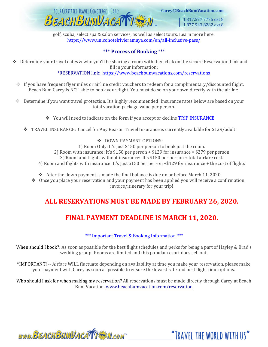

Carey@BeachBumVacation.com

1.317.577.7775 ext 8 1.877.943.8282 ext 8

"TRAVFI THE WORLD WITH US"

golf, scuba, select spa & salon services, as well as select tours. Learn more here: <https://www.unicohotelrivieramaya.com/en/all-inclusive-pass/>

#### **\*\*\* Process of Booking** \*\*\*

❖ Determine your travel dates & who you'll be sharing a room with then click on the secure Reservation Link and fill in your information:

\*RESERVATION link: <https://www.beachbumvacations.com/reservations>

- ❖ If you have frequent flyer miles or airline credit vouchers to redeem for a complimentary/discounted flight, Beach Bum Carey is NOT able to book your flight. You must do so on your own directly with the airline.
- ❖ Determine if you want travel protection. It's highly recommended! Insurance rates below are based on your total vacation package value per person.
	- ❖ You will need to indicate on the form if you accept or decline TRIP INSURANCE
	- ❖ TRAVEL INSURANCE: Cancel for Any Reason Travel Insurance is currently available for \$129/adult.

#### ❖ DOWN PAYMENT OPTIONS:

1) Room Only: It's just \$150 per person to book just the room.

2) Room with insurance: It's \$150 per person + \$129 for insurance = \$279 per person

- 3) Room and flights without insurance: It's \$150 per person + total airfare cost.
- 4) Room and flights with insurance: It's just \$150 per person +\$129 for insurance + the cost of flights

◆ After the down payment is made the final balance is due on or before March 11, 2020.

❖ Once you place your reservation and your payment has been applied you will receive a confirmation invoice/itinerary for your trip!

# **ALL RESERVATIONS MUST BE MADE BY FEBRUARY 26, 2020.**

# **FINAL PAYMENT DEADLINE IS MARCH 11, 2020.**

\*\*\* Important Travel & Booking Information \*\*\*

When should I book?: As soon as possible for the best flight schedules and perks for being a part of Hayley & Brad's wedding group! Rooms are limited and this popular resort does sell out.

\*IMPORTANT! -- Airfare WILL fluctuate depending on availability at time you make your reservation, please make your payment with Carey as soon as possible to ensure the lowest rate and best flight time options.

Who should I ask for when making my reservation? All reservations must be made directly through Carey at Beach Bum Vacation. [www.beachbumvacation.com/reservation](http://www.beachbumvacation.com/reservation)

www.BEACHBUMVACATT SM.com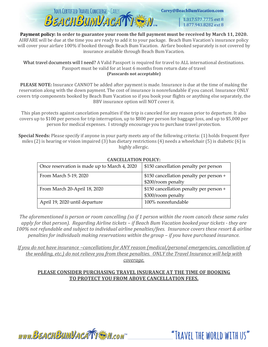Carey@BeachBumVacation.com

1.317.577.7775 ext 8 1.877.943.8282 ext 8

#### **Payment policy: In order to guarantee your room the full payment must be received by March 11, 2020.** AIRFARE will be due at the time you are ready to add it to your package. Beach Bum Vacation's insurance policy will cover your airfare 100% if booked through Beach Bum Vacation. Airfare booked separately is not covered by insurance available through Beach Bum Vacation.

YOUR CERTIFIED TRAVEL CONCIERGE - CAREY

BEACHBUMVACA

What travel documents will I need? A Valid Passport is required for travel to ALL international destinations. Passport must be valid for at least 6 months from return date of travel **(Passcards not acceptable)**

**PLEASE NOTE:** Insurance CANNOT be added after payment is made. Insurance is due at the time of making the reservation along with the down payment. The cost of insurance is nonrefundable if you cancel. Insurance ONLY covers trip components booked by Beach Bum Vacation so if you book your flights or anything else separately, the BBV insurance option will NOT cover it.

This plan protects against cancelation penalties if the trip is canceled for any reason prior to departure. It also covers up to \$100 per person for trip interruption, up to \$800 per person for baggage loss, and up to \$5,000 per person for medical expenses. I strongly encourage you to purchase travel protection.

**Special Needs:** Please specify if anyone in your party meets any of the following criteria: (1) holds frequent flyer miles (2) is hearing or vision impaired (3) has dietary restrictions (4) needs a wheelchair (5) is diabetic (6) is highly allergic.

| <u>uitin ullillist toin tollin u</u>    |  |  |  |  |
|-----------------------------------------|--|--|--|--|
| \$150 cancellation penalty per person   |  |  |  |  |
| \$150 cancellation penalty per person + |  |  |  |  |
| \$200/room penalty                      |  |  |  |  |
| \$150 cancellation penalty per person + |  |  |  |  |
| \$300/room penalty                      |  |  |  |  |
| 100% nonrefundable                      |  |  |  |  |
|                                         |  |  |  |  |

#### **CANCELLATION POLICY:**

*The aforementioned is person or room cancelling (so if 1 person within the room cancels these same rules apply for that person). Regarding Airline tickets – if Beach Bum Vacation booked your tickets - they are 100% not refundable and subject to individual airline penalties/fees. Insurance covers these resort & airline penalties for individuals making reservations within the group – if you have purchased insurance.* 

*If you do not have insurance –cancellations for ANY reason (medical/personal emergencies, cancellation of the wedding, etc.) do not relieve you from these penalties. ONLY the Travel Insurance will help with coverage.*

#### **PLEASE CONSIDER PURCHASING TRAVEL INSURANCE AT THE TIME OF BOOKING TO PROTECT YOU FROM ABOVE CANCELLATION FEES.**

www.BEACHBUMVACATT SM.com

"TRAVFI THE WORLD WITH US"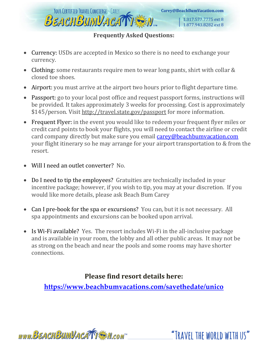

### **Frequently Asked Questions:**

- Currency: USDs are accepted in Mexico so there is no need to exchange your currency.
- Clothing: some restaurants require men to wear long pants, shirt with collar & closed toe shoes.
- Airport: you must arrive at the airport two hours prior to flight departure time.
- Passport: go to your local post office and request passport forms, instructions will be provided. It takes approximately 3 weeks for processing. Cost is approximately \$145/person. Visit<http://travel.state.gov/passport> for more information.
- Frequent Flyer: in the event you would like to redeem your frequent flyer miles or credit card points to book your flights, you will need to contact the airline or credit card company directly but make sure you email [carey@beachbumvacation.com](mailto:carey@beachbumvacation.com) your flight itinerary so he may arrange for your airport transportation to & from the resort.
- Will I need an outlet converter? No.
- Do I need to tip the employees? Gratuities are technically included in your incentive package; however, if you wish to tip, you may at your discretion. If you would like more details, please ask Beach Bum Carey
- Can I pre-book for the spa or excursions? You can, but it is not necessary. All spa appointments and excursions can be booked upon arrival.
- Is Wi-Fi available? Yes. The resort includes Wi-Fi in the all-inclusive package and is available in your room, the lobby and all other public areas. It may not be as strong on the beach and near the pools and some rooms may have shorter connections.

# **Please find resort details here:**

**<https://www.beachbumvacations.com/savethedate/unico>**



"TRAVFI THE WORLD WITH US"